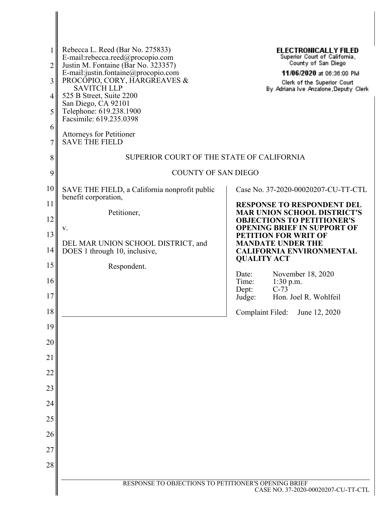| 1<br>2              | Rebecca L. Reed (Bar No. 275833)<br>E-mail:rebecca.reed@procopio.com<br>Justin M. Fontaine (Bar No. 323357) | <b>ELECTRONICALLY FILED</b><br>Superior Court of California,<br>County of San Diego                          |  |
|---------------------|-------------------------------------------------------------------------------------------------------------|--------------------------------------------------------------------------------------------------------------|--|
| 3                   | E-mail:justin.fontaine@procopio.com<br>PROCOPIO, CORY, HARGREAVES &<br><b>SAVITCH LLP</b>                   | 11/06/2020 at 06:36:00 PM<br>Clerk of the Superior Court<br>By Adriana Ive Anzalone, Deputy Clerk            |  |
| $\overline{4}$<br>5 | 525 B Street, Suite 2200<br>San Diego, CA 92101<br>Telephone: 619.238.1900<br>Facsimile: 619.235.0398       |                                                                                                              |  |
| 6<br>7              | <b>Attorneys for Petitioner</b><br><b>SAVE THE FIELD</b>                                                    |                                                                                                              |  |
| 8                   | SUPERIOR COURT OF THE STATE OF CALIFORNIA                                                                   |                                                                                                              |  |
| 9                   | <b>COUNTY OF SAN DIEGO</b>                                                                                  |                                                                                                              |  |
| 10                  | SAVE THE FIELD, a California nonprofit public<br>benefit corporation,                                       | Case No. 37-2020-00020207-CU-TT-CTL                                                                          |  |
| 11<br>12            | Petitioner,                                                                                                 | <b>RESPONSE TO RESPONDENT DEL</b><br><b>MAR UNION SCHOOL DISTRICT'S</b><br><b>OBJECTIONS TO PETITIONER'S</b> |  |
| 13                  | v.                                                                                                          | <b>OPENING BRIEF IN SUPPORT OF</b><br><b>PETITION FOR WRIT OF</b>                                            |  |
| 14                  | DEL MAR UNION SCHOOL DISTRICT, and<br>DOES 1 through 10, inclusive,                                         | <b>MANDATE UNDER THE</b><br><b>CALIFORNIA ENVIRONMENTAL</b>                                                  |  |
| 15                  | Respondent.                                                                                                 | <b>QUALITY ACT</b>                                                                                           |  |
| 16<br>17            |                                                                                                             | November 18, 2020<br>Date:<br>Time:<br>1:30 p.m.<br>$C-73$<br>Dept:<br>Judge:<br>Hon. Joel R. Wohlfeil       |  |
| 18                  |                                                                                                             | Complaint Filed:<br>June 12, 2020                                                                            |  |
| 19                  |                                                                                                             |                                                                                                              |  |
| 20                  |                                                                                                             |                                                                                                              |  |
| 21                  |                                                                                                             |                                                                                                              |  |
| 22                  |                                                                                                             |                                                                                                              |  |
| 23                  |                                                                                                             |                                                                                                              |  |
| 24                  |                                                                                                             |                                                                                                              |  |
| 25                  |                                                                                                             |                                                                                                              |  |
| 26                  |                                                                                                             |                                                                                                              |  |
| 27                  |                                                                                                             |                                                                                                              |  |
| 28                  |                                                                                                             |                                                                                                              |  |
|                     | RESPONSE TO OBJECTIONS TO PETITIONER'S OPENING BRIEF<br>CASE NO. 37-2020-00020207-CU-TT-CTL                 |                                                                                                              |  |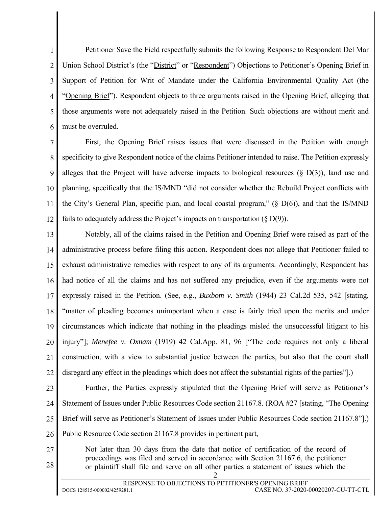1 2 3 4 5 6 Petitioner Save the Field respectfully submits the following Response to Respondent Del Mar Union School District's (the "District" or "Respondent") Objections to Petitioner's Opening Brief in Support of Petition for Writ of Mandate under the California Environmental Quality Act (the "Opening Brief"). Respondent objects to three arguments raised in the Opening Brief, alleging that those arguments were not adequately raised in the Petition. Such objections are without merit and must be overruled.

7 8 9 10 11 12 First, the Opening Brief raises issues that were discussed in the Petition with enough specificity to give Respondent notice of the claims Petitioner intended to raise. The Petition expressly alleges that the Project will have adverse impacts to biological resources  $(\S$  D(3)), land use and planning, specifically that the IS/MND "did not consider whether the Rebuild Project conflicts with the City's General Plan, specific plan, and local coastal program,"  $(\S D(6))$ , and that the IS/MND fails to adequately address the Project's impacts on transportation  $(\S D(9))$ .

13 14 15 16 17 18 19 20 21 22 Notably, all of the claims raised in the Petition and Opening Brief were raised as part of the administrative process before filing this action. Respondent does not allege that Petitioner failed to exhaust administrative remedies with respect to any of its arguments. Accordingly, Respondent has had notice of all the claims and has not suffered any prejudice, even if the arguments were not expressly raised in the Petition. (See, e.g., *Buxbom v. Smith* (1944) 23 Cal.2d 535, 542 [stating, "matter of pleading becomes unimportant when a case is fairly tried upon the merits and under circumstances which indicate that nothing in the pleadings misled the unsuccessful litigant to his injury"]; *Menefee v. Oxnam* (1919) 42 Cal.App. 81, 96 ["The code requires not only a liberal construction, with a view to substantial justice between the parties, but also that the court shall disregard any effect in the pleadings which does not affect the substantial rights of the parties".

23

24 25 26 Further, the Parties expressly stipulated that the Opening Brief will serve as Petitioner's Statement of Issues under Public Resources Code section 21167.8. (ROA #27 [stating, "The Opening Brief will serve as Petitioner's Statement of Issues under Public Resources Code section 21167.8"].) Public Resource Code section 21167.8 provides in pertinent part,

- 27
- 28

2 Not later than 30 days from the date that notice of certification of the record of proceedings was filed and served in accordance with Section 21167.6, the petitioner or plaintiff shall file and serve on all other parties a statement of issues which the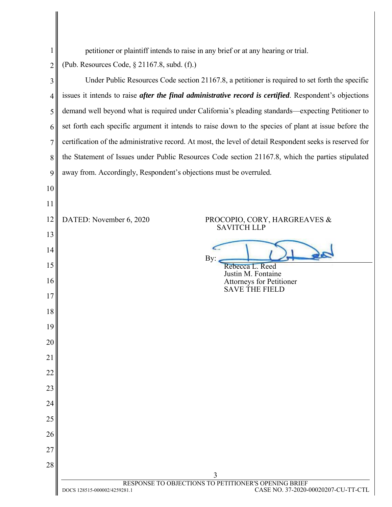| $\mathbf 1$ | petitioner or plaintiff intends to raise in any brief or at any hearing or trial.                         |                                                                                             |  |
|-------------|-----------------------------------------------------------------------------------------------------------|---------------------------------------------------------------------------------------------|--|
| 2           | (Pub. Resources Code, § 21167.8, subd. (f).)                                                              |                                                                                             |  |
| 3           | Under Public Resources Code section 21167.8, a petitioner is required to set forth the specific           |                                                                                             |  |
| 4           | issues it intends to raise after the final administrative record is certified. Respondent's objections    |                                                                                             |  |
| 5           | demand well beyond what is required under California's pleading standards—expecting Petitioner to         |                                                                                             |  |
| 6           | set forth each specific argument it intends to raise down to the species of plant at issue before the     |                                                                                             |  |
| 7           | certification of the administrative record. At most, the level of detail Respondent seeks is reserved for |                                                                                             |  |
| 8           | the Statement of Issues under Public Resources Code section 21167.8, which the parties stipulated         |                                                                                             |  |
| 9           | away from. Accordingly, Respondent's objections must be overruled.                                        |                                                                                             |  |
| 10          |                                                                                                           |                                                                                             |  |
| 11          |                                                                                                           |                                                                                             |  |
| 12          | DATED: November 6, 2020                                                                                   | PROCOPIO, CORY, HARGREAVES &                                                                |  |
| 13          |                                                                                                           | <b>SAVITCH LLP</b>                                                                          |  |
| 14          |                                                                                                           |                                                                                             |  |
| 15          |                                                                                                           | By:<br>Rebecca L. Reed                                                                      |  |
| 16          |                                                                                                           | Justin M. Fontaine<br><b>Attorneys for Petitioner</b><br><b>SAVE THE FIELD</b>              |  |
| 17          |                                                                                                           |                                                                                             |  |
| 18          |                                                                                                           |                                                                                             |  |
| 19          |                                                                                                           |                                                                                             |  |
| 20          |                                                                                                           |                                                                                             |  |
| 21          |                                                                                                           |                                                                                             |  |
| 22          |                                                                                                           |                                                                                             |  |
| 23          |                                                                                                           |                                                                                             |  |
| 24          |                                                                                                           |                                                                                             |  |
| 25          |                                                                                                           |                                                                                             |  |
| 26          |                                                                                                           |                                                                                             |  |
| 27          |                                                                                                           |                                                                                             |  |
| 28          |                                                                                                           | 3                                                                                           |  |
|             |                                                                                                           | RESPONSE TO OBJECTIONS TO PETITIONER'S OPENING BRIEF<br>CASE NO. 37-2020-00020207-CU-TT-CTL |  |
|             | DOCS 128515-000002/4259281.1                                                                              |                                                                                             |  |